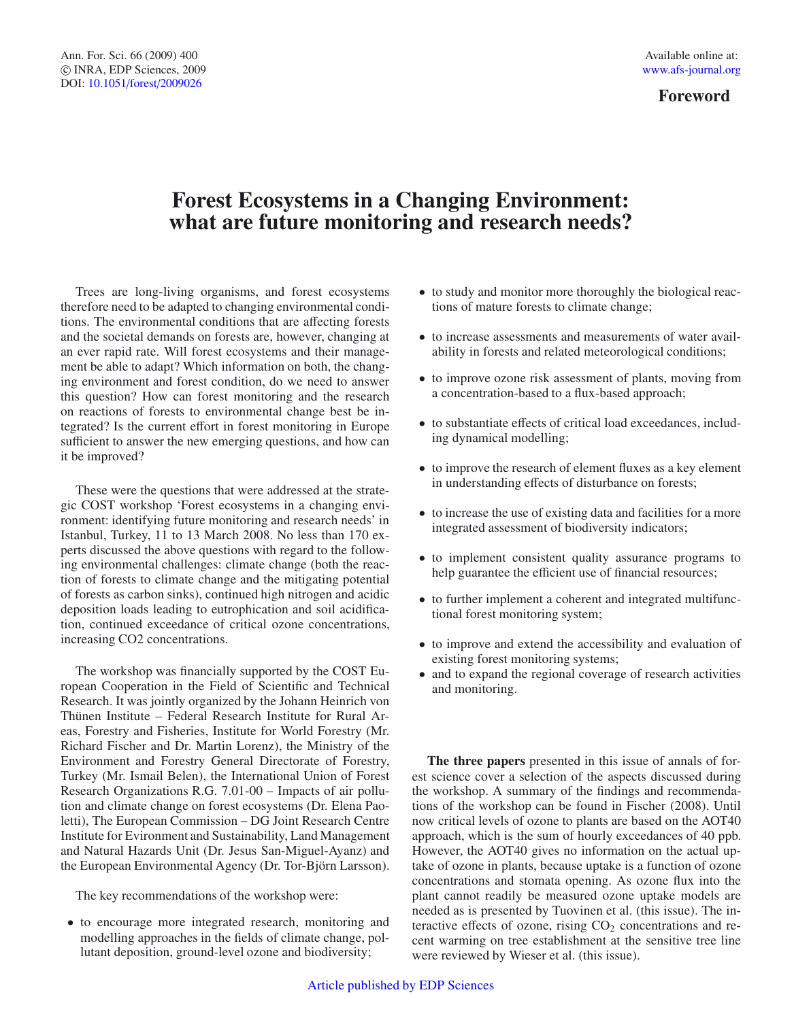## **Forest Ecosystems in a Changing Environment: what are future monitoring and research needs?**

Trees are long-living organisms, and forest ecosystems therefore need to be adapted to changing environmental conditions. The environmental conditions that are affecting forests and the societal demands on forests are, however, changing at an ever rapid rate. Will forest ecosystems and their management be able to adapt? Which information on both, the changing environment and forest condition, do we need to answer this question? How can forest monitoring and the research on reactions of forests to environmental change best be integrated? Is the current effort in forest monitoring in Europe sufficient to answer the new emerging questions, and how can it be improved?

These were the questions that were addressed at the strategic COST workshop 'Forest ecosystems in a changing environment: identifying future monitoring and research needs' in Istanbul, Turkey, 11 to 13 March 2008. No less than 170 experts discussed the above questions with regard to the following environmental challenges: climate change (both the reaction of forests to climate change and the mitigating potential of forests as carbon sinks), continued high nitrogen and acidic deposition loads leading to eutrophication and soil acidification, continued exceedance of critical ozone concentrations, increasing CO2 concentrations.

The workshop was financially supported by the COST European Cooperation in the Field of Scientific and Technical Research. It was jointly organized by the Johann Heinrich von Thünen Institute – Federal Research Institute for Rural Areas, Forestry and Fisheries, Institute for World Forestry (Mr. Richard Fischer and Dr. Martin Lorenz), the Ministry of the Environment and Forestry General Directorate of Forestry, Turkey (Mr. Ismail Belen), the International Union of Forest Research Organizations R.G. 7.01-00 – Impacts of air pollution and climate change on forest ecosystems (Dr. Elena Paoletti), The European Commission – DG Joint Research Centre Institute for Evironment and Sustainability, Land Management and Natural Hazards Unit (Dr. Jesus San-Miguel-Ayanz) and the European Environmental Agency (Dr. Tor-Björn Larsson).

The key recommendations of the workshop were:

• to encourage more integrated research, monitoring and modelling approaches in the fields of climate change, pollutant deposition, ground-level ozone and biodiversity;

- to study and monitor more thoroughly the biological reactions of mature forests to climate change;
- to increase assessments and measurements of water availability in forests and related meteorological conditions;
- to improve ozone risk assessment of plants, moving from a concentration-based to a flux-based approach;
- to substantiate effects of critical load exceedances, including dynamical modelling;
- to improve the research of element fluxes as a key element in understanding effects of disturbance on forests;
- to increase the use of existing data and facilities for a more integrated assessment of biodiversity indicators;
- to implement consistent quality assurance programs to help guarantee the efficient use of financial resources;
- to further implement a coherent and integrated multifunctional forest monitoring system;
- to improve and extend the accessibility and evaluation of existing forest monitoring systems;
- and to expand the regional coverage of research activities and monitoring.

**The three papers** presented in this issue of annals of forest science cover a selection of the aspects discussed during the workshop. A summary of the findings and recommendations of the workshop can be found in Fischer (2008). Until now critical levels of ozone to plants are based on the AOT40 approach, which is the sum of hourly exceedances of 40 ppb. However, the AOT40 gives no information on the actual uptake of ozone in plants, because uptake is a function of ozone concentrations and stomata opening. As ozone flux into the plant cannot readily be measured ozone uptake models are needed as is presented by Tuovinen et al. (this issue). The interactive effects of ozone, rising  $CO<sub>2</sub>$  concentrations and recent warming on tree establishment at the sensitive tree line were reviewed by Wieser et al. (this issue).